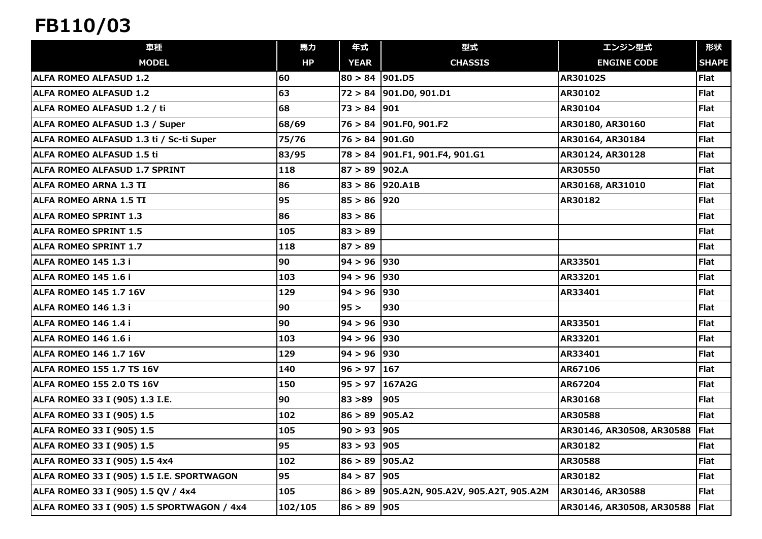## FB110/03

| 車種                                         | 馬力      | 年式               | 型式                                 | エンジン型式                    | 形状           |
|--------------------------------------------|---------|------------------|------------------------------------|---------------------------|--------------|
| <b>MODEL</b>                               | HP      | <b>YEAR</b>      | <b>CHASSIS</b>                     | <b>ENGINE CODE</b>        | <b>SHAPE</b> |
| <b>ALFA ROMEO ALFASUD 1.2</b>              | 60      | 80 > 84          | 901.D5                             | AR30102S                  | <b>Flat</b>  |
| ALFA ROMEO ALFASUD 1.2                     | 63      |                  | $72 > 84$ 901.D0, 901.D1           | AR30102                   | <b>Flat</b>  |
| ALFA ROMEO ALFASUD 1.2 / ti                | 68      | 73 > 84          | 901                                | AR30104                   | <b>Flat</b>  |
| ALFA ROMEO ALFASUD 1.3 / Super             | 68/69   |                  | 76 > 84 901.F0, 901.F2             | AR30180, AR30160          | <b>Flat</b>  |
| ALFA ROMEO ALFASUD 1.3 ti / Sc-ti Super    | 75/76   | $76 > 84$ 901.60 |                                    | AR30164, AR30184          | Flat         |
| ALFA ROMEO ALFASUD 1.5 ti                  | 83/95   |                  | 78 > 84 901.F1, 901.F4, 901.G1     | AR30124, AR30128          | Flat         |
| <b>ALFA ROMEO ALFASUD 1.7 SPRINT</b>       | 118     | 87 > 89          | 902.A                              | AR30550                   | Flat         |
| ALFA ROMEO ARNA 1.3 TI                     | 86      | 83 > 86          | 920.A1B                            | AR30168, AR31010          | Flat         |
| ALFA ROMEO ARNA 1.5 TI                     | 95      | $85 > 86$ 920    |                                    | AR30182                   | <b>Flat</b>  |
| ALFA ROMEO SPRINT 1.3                      | 86      | 83 > 86          |                                    |                           | Flat         |
| ALFA ROMEO SPRINT 1.5                      | 105     | 83 > 89          |                                    |                           | Flat         |
| ALFA ROMEO SPRINT 1.7                      | 118     | 87 > 89          |                                    |                           | <b>Flat</b>  |
| ALFA ROMEO 145 1.3 i                       | 90      | 94 > 96          | 930                                | AR33501                   | Flat         |
| ALFA ROMEO 145 1.6 i                       | 103     | 94 > 96          | 930                                | AR33201                   | Flat         |
| <b>ALFA ROMEO 145 1.7 16V</b>              | 129     | 94 > 96          | 930                                | AR33401                   | Flat         |
| ALFA ROMEO 146 1.3 i                       | 90      | 95 >             | 930                                |                           | Flat         |
| ALFA ROMEO 146 1.4 i                       | 90      | 94 > 96          | 930                                | AR33501                   | <b>Flat</b>  |
| ALFA ROMEO 146 1.6 i                       | 103     | 94 > 96          | 930                                | AR33201                   | Flat         |
| <b>ALFA ROMEO 146 1.7 16V</b>              | 129     | 94 > 96          | 930                                | AR33401                   | Flat         |
| <b>ALFA ROMEO 155 1.7 TS 16V</b>           | 140     | 96 > 97          | 167                                | AR67106                   | Flat         |
| <b>ALFA ROMEO 155 2.0 TS 16V</b>           | 150     |                  | $95 > 97$ 167A2G                   | AR67204                   | <b>Flat</b>  |
| ALFA ROMEO 33 I (905) 1.3 I.E.             | 90      | 83 > 89          | 905                                | AR30168                   | Flat         |
| ALFA ROMEO 33 I (905) 1.5                  | 102     | 86 > 89          | 905.A2                             | AR30588                   | Flat         |
| ALFA ROMEO 33 I (905) 1.5                  | 105     | 90 > 93          | 905                                | AR30146, AR30508, AR30588 | <b>Flat</b>  |
| ALFA ROMEO 33 I (905) 1.5                  | 95      | $83 > 93$ 905    |                                    | AR30182                   | <b>Flat</b>  |
| ALFA ROMEO 33 I (905) 1.5 4x4              | 102     | $86 > 89$ 905.A2 |                                    | AR30588                   | <b>Flat</b>  |
| ALFA ROMEO 33 I (905) 1.5 I.E. SPORTWAGON  | 95      | $84 > 87$ 905    |                                    | AR30182                   | <b>Flat</b>  |
| ALFA ROMEO 33 I (905) 1.5 QV / 4x4         | 105     | 86 > 89          | 905.A2N, 905.A2V, 905.A2T, 905.A2M | AR30146, AR30588          | <b>Flat</b>  |
| ALFA ROMEO 33 I (905) 1.5 SPORTWAGON / 4x4 | 102/105 | 86 > 89 905      |                                    | AR30146, AR30508, AR30588 | Flat         |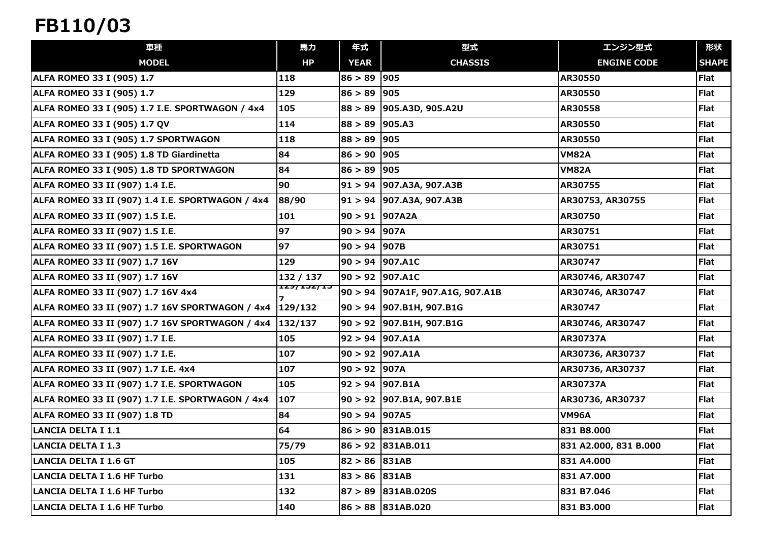## FB110/03

| 車種                                                      | 馬力         | 年式               | 型式                               | エンジン型式                | 形状           |
|---------------------------------------------------------|------------|------------------|----------------------------------|-----------------------|--------------|
| <b>MODEL</b>                                            | HP         | <b>YEAR</b>      | <b>CHASSIS</b>                   | <b>ENGINE CODE</b>    | <b>SHAPE</b> |
| <b>ALFA ROMEO 33 I (905) 1.7</b>                        | 118        | $86 > 89$ 905    |                                  | <b>AR30550</b>        | <b>Flat</b>  |
| ALFA ROMEO 33 I (905) 1.7                               | 129        | $86 > 89$ 905    |                                  | AR30550               | <b>Flat</b>  |
| ALFA ROMEO 33 I (905) 1.7 I.E. SPORTWAGON / 4x4         | 105        |                  | 88 > 89 905.A3D, 905.A2U         | AR30558               | <b>Flat</b>  |
| ALFA ROMEO 33 I (905) 1.7 QV                            | 114        | $88 > 89$ 905.A3 |                                  | AR30550               | <b>Flat</b>  |
| ALFA ROMEO 33 I (905) 1.7 SPORTWAGON                    | 118        | $88 > 89$ 905    |                                  | AR30550               | Flat         |
| ALFA ROMEO 33 I (905) 1.8 TD Giardinetta                | 84         | $86 > 90$ 905    |                                  | <b>VM82A</b>          | <b>Flat</b>  |
| ALFA ROMEO 33 I (905) 1.8 TD SPORTWAGON                 | 84         | $86 > 89$ 905    |                                  | <b>VM82A</b>          | <b>Flat</b>  |
| ALFA ROMEO 33 II (907) 1.4 I.E.                         | 90         |                  | $91 > 94$  907.A3A, 907.A3B      | AR30755               | <b>Flat</b>  |
| ALFA ROMEO 33 II (907) 1.4 I.E. SPORTWAGON / 4x4        | 88/90      |                  | $91 > 94$ 907.A3A, 907.A3B       | AR30753, AR30755      | <b>Flat</b>  |
| ALFA ROMEO 33 II (907) 1.5 I.E.                         | 101        | $90 > 91$ 907A2A |                                  | AR30750               | <b>Flat</b>  |
| ALFA ROMEO 33 II (907) 1.5 I.E.                         | 97         | $90 > 94$ 907A   |                                  | AR30751               | <b>Flat</b>  |
| ALFA ROMEO 33 II (907) 1.5 I.E. SPORTWAGON              | 97         | $90 > 94$ 907B   |                                  | AR30751               | <b>Flat</b>  |
| ALFA ROMEO 33 II (907) 1.7 16V                          | 129        |                  | $90 > 94$ 907.A1C                | AR30747               | <b>Flat</b>  |
| ALFA ROMEO 33 II (907) 1.7 16V                          | 132 / 137  |                  | $90 > 92$ 907.A1C                | AR30746, AR30747      | <b>Flat</b>  |
| ALFA ROMEO 33 II (907) 1.7 16V 4x4                      | 127/132/13 |                  | 90 > 94 907A1F, 907.A1G, 907.A1B | AR30746, AR30747      | <b>Flat</b>  |
| ALFA ROMEO 33 II (907) 1.7 16V SPORTWAGON / 4x4 129/132 |            |                  | $90 > 94$ 907.B1H, 907.B1G       | AR30747               | <b>Flat</b>  |
| ALFA ROMEO 33 II (907) 1.7 16V SPORTWAGON / 4x4         | 132/137    |                  | 90 > 92 907.B1H, 907.B1G         | AR30746, AR30747      | <b>Flat</b>  |
| ALFA ROMEO 33 II (907) 1.7 I.E.                         | 105        |                  | $92 > 94$ 907.A1A                | AR30737A              | <b>Flat</b>  |
| ALFA ROMEO 33 II (907) 1.7 I.E.                         | 107        |                  | $90 > 92$ 907.A1A                | AR30736, AR30737      | <b>Flat</b>  |
| ALFA ROMEO 33 II (907) 1.7 I.E. 4x4                     | 107        | $90 > 92$ 907A   |                                  | AR30736, AR30737      | <b>Flat</b>  |
| ALFA ROMEO 33 II (907) 1.7 I.E. SPORTWAGON              | 105        |                  | $92 > 94$ 907.B1A                | AR30737A              | <b>Flat</b>  |
| ALFA ROMEO 33 II (907) 1.7 I.E. SPORTWAGON / 4x4        | 107        |                  | $90 > 92$ 907.B1A, 907.B1E       | AR30736, AR30737      | <b>Flat</b>  |
| ALFA ROMEO 33 II (907) 1.8 TD                           | 84         | $90 > 94$ 907A5  |                                  | <b>VM96A</b>          | <b>Flat</b>  |
| LANCIA DELTA I 1.1                                      | 64         |                  | $86 > 90$ 831AB.015              | 831 B8.000            | <b>Flat</b>  |
| LANCIA DELTA I 1.3                                      | 75/79      |                  | 86 > 92 831AB.011                | 831 A2.000, 831 B.000 | <b>Flat</b>  |
| LANCIA DELTA I 1.6 GT                                   | 105        | 82 > 86 831AB    |                                  | 831 A4.000            | Flat         |
| LANCIA DELTA I 1.6 HF Turbo                             | 131        | $83 > 86$ 831AB  |                                  | 831 A7.000            | <b>Flat</b>  |
| LANCIA DELTA I 1.6 HF Turbo                             | 132        |                  | 87 > 89 831AB.020S               | 831 B7.046            | <b>Flat</b>  |
| LANCIA DELTA I 1.6 HF Turbo                             | 140        |                  | 86 > 88 831AB.020                | 831 B3.000            | <b>Flat</b>  |